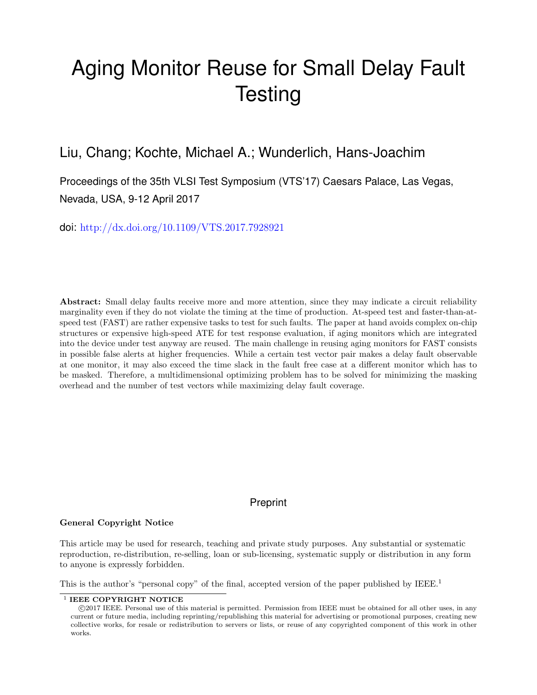# Aging Monitor Reuse for Small Delay Fault **Testing**

Liu, Chang; Kochte, Michael A.; Wunderlich, Hans-Joachim

Proceedings of the 35th VLSI Test Symposium (VTS'17) Caesars Palace, Las Vegas, Nevada, USA, 9-12 April 2017

doi: <http://dx.doi.org/10.1109/VTS.2017.7928921>

Abstract: Small delay faults receive more and more attention, since they may indicate a circuit reliability marginality even if they do not violate the timing at the time of production. At-speed test and faster-than-atspeed test (FAST) are rather expensive tasks to test for such faults. The paper at hand avoids complex on-chip structures or expensive high-speed ATE for test response evaluation, if aging monitors which are integrated into the device under test anyway are reused. The main challenge in reusing aging monitors for FAST consists in possible false alerts at higher frequencies. While a certain test vector pair makes a delay fault observable at one monitor, it may also exceed the time slack in the fault free case at a different monitor which has to be masked. Therefore, a multidimensional optimizing problem has to be solved for minimizing the masking overhead and the number of test vectors while maximizing delay fault coverage.

# Preprint

# General Copyright Notice

This article may be used for research, teaching and private study purposes. Any substantial or systematic reproduction, re-distribution, re-selling, loan or sub-licensing, systematic supply or distribution in any form to anyone is expressly forbidden.

This is the author's "personal copy" of the final, accepted version of the paper published by IEEE.<sup>[1](#page-0-0)</sup>

<span id="page-0-0"></span><sup>&</sup>lt;sup>1</sup> IEEE COPYRIGHT NOTICE

c 2017 IEEE. Personal use of this material is permitted. Permission from IEEE must be obtained for all other uses, in any current or future media, including reprinting/republishing this material for advertising or promotional purposes, creating new collective works, for resale or redistribution to servers or lists, or reuse of any copyrighted component of this work in other works.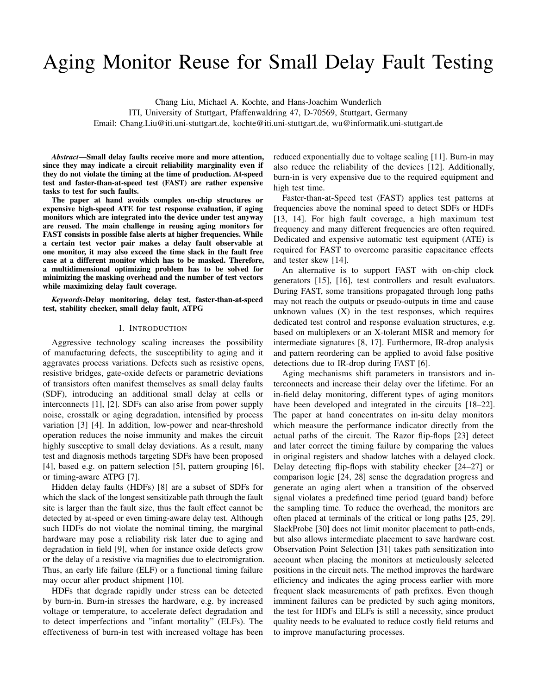# Aging Monitor Reuse for Small Delay Fault Testing

Chang Liu, Michael A. Kochte, and Hans-Joachim Wunderlich

ITI, University of Stuttgart, Pfaffenwaldring 47, D-70569, Stuttgart, Germany

Email: Chang.Liu@iti.uni-stuttgart.de, kochte@iti.uni-stuttgart.de, wu@informatik.uni-stuttgart.de

*Abstract*—Small delay faults receive more and more attention, since they may indicate a circuit reliability marginality even if they do not violate the timing at the time of production. At-speed test and faster-than-at-speed test (FAST) are rather expensive tasks to test for such faults.

The paper at hand avoids complex on-chip structures or expensive high-speed ATE for test response evaluation, if aging monitors which are integrated into the device under test anyway are reused. The main challenge in reusing aging monitors for FAST consists in possible false alerts at higher frequencies. While a certain test vector pair makes a delay fault observable at one monitor, it may also exceed the time slack in the fault free case at a different monitor which has to be masked. Therefore, a multidimensional optimizing problem has to be solved for minimizing the masking overhead and the number of test vectors while maximizing delay fault coverage.

*Keywords*-Delay monitoring, delay test, faster-than-at-speed test, stability checker, small delay fault, ATPG

# I. INTRODUCTION

Aggressive technology scaling increases the possibility of manufacturing defects, the susceptibility to aging and it aggravates process variations. Defects such as resistive opens, resistive bridges, gate-oxide defects or parametric deviations of transistors often manifest themselves as small delay faults (SDF), introducing an additional small delay at cells or interconnects [1], [2]. SDFs can also arise from power supply noise, crosstalk or aging degradation, intensified by process variation [3] [4]. In addition, low-power and near-threshold operation reduces the noise immunity and makes the circuit highly susceptive to small delay deviations. As a result, many test and diagnosis methods targeting SDFs have been proposed [4], based e.g. on pattern selection [5], pattern grouping [6], or timing-aware ATPG [7].

Hidden delay faults (HDFs) [8] are a subset of SDFs for which the slack of the longest sensitizable path through the fault site is larger than the fault size, thus the fault effect cannot be detected by at-speed or even timing-aware delay test. Although such HDFs do not violate the nominal timing, the marginal hardware may pose a reliability risk later due to aging and degradation in field [9], when for instance oxide defects grow or the delay of a resistive via magnifies due to electromigration. Thus, an early life failure (ELF) or a functional timing failure may occur after product shipment [10].

HDFs that degrade rapidly under stress can be detected by burn-in. Burn-in stresses the hardware, e.g. by increased voltage or temperature, to accelerate defect degradation and to detect imperfections and "infant mortality" (ELFs). The effectiveness of burn-in test with increased voltage has been reduced exponentially due to voltage scaling [11]. Burn-in may also reduce the reliability of the devices [12]. Additionally, burn-in is very expensive due to the required equipment and high test time.

Faster-than-at-Speed test (FAST) applies test patterns at frequencies above the nominal speed to detect SDFs or HDFs [13, 14]. For high fault coverage, a high maximum test frequency and many different frequencies are often required. Dedicated and expensive automatic test equipment (ATE) is required for FAST to overcome parasitic capacitance effects and tester skew [14].

An alternative is to support FAST with on-chip clock generators [15], [16], test controllers and result evaluators. During FAST, some transitions propagated through long paths may not reach the outputs or pseudo-outputs in time and cause unknown values  $(X)$  in the test responses, which requires dedicated test control and response evaluation structures, e.g. based on multiplexers or an X-tolerant MISR and memory for intermediate signatures [8, 17]. Furthermore, IR-drop analysis and pattern reordering can be applied to avoid false positive detections due to IR-drop during FAST [6].

Aging mechanisms shift parameters in transistors and interconnects and increase their delay over the lifetime. For an in-field delay monitoring, different types of aging monitors have been developed and integrated in the circuits [18–22]. The paper at hand concentrates on in-situ delay monitors which measure the performance indicator directly from the actual paths of the circuit. The Razor flip-flops [23] detect and later correct the timing failure by comparing the values in original registers and shadow latches with a delayed clock. Delay detecting flip-flops with stability checker [24–27] or comparison logic [24, 28] sense the degradation progress and generate an aging alert when a transition of the observed signal violates a predefined time period (guard band) before the sampling time. To reduce the overhead, the monitors are often placed at terminals of the critical or long paths [25, 29]. SlackProbe [30] does not limit monitor placement to path-ends, but also allows intermediate placement to save hardware cost. Observation Point Selection [31] takes path sensitization into account when placing the monitors at meticulously selected positions in the circuit nets. The method improves the hardware efficiency and indicates the aging process earlier with more frequent slack measurements of path prefixes. Even though imminent failures can be predicted by such aging monitors, the test for HDFs and ELFs is still a necessity, since product quality needs to be evaluated to reduce costly field returns and to improve manufacturing processes.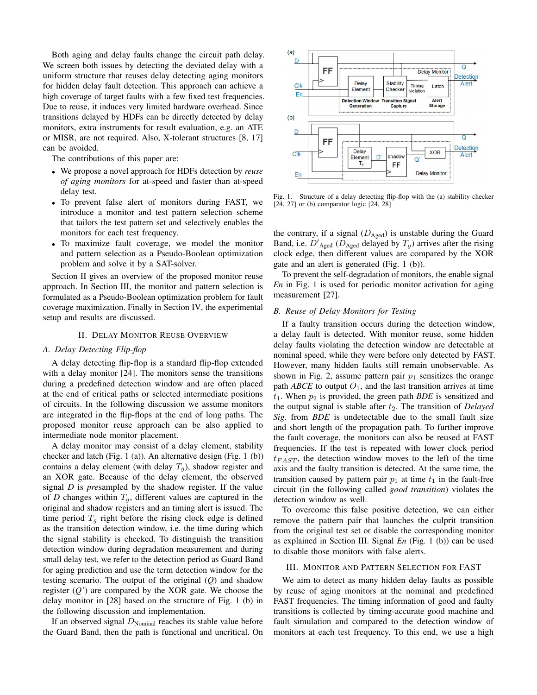Both aging and delay faults change the circuit path delay. We screen both issues by detecting the deviated delay with a uniform structure that reuses delay detecting aging monitors for hidden delay fault detection. This approach can achieve a high coverage of target faults with a few fixed test frequencies. Due to reuse, it induces very limited hardware overhead. Since transitions delayed by HDFs can be directly detected by delay monitors, extra instruments for result evaluation, e.g. an ATE or MISR, are not required. Also, X-tolerant structures [8, 17] can be avoided.

The contributions of this paper are:

- We propose a novel approach for HDFs detection by *reuse of aging monitors* for at-speed and faster than at-speed delay test.
- To prevent false alert of monitors during FAST, we introduce a monitor and test pattern selection scheme that tailors the test pattern set and selectively enables the monitors for each test frequency.
- To maximize fault coverage, we model the monitor and pattern selection as a Pseudo-Boolean optimization problem and solve it by a SAT-solver.

Section II gives an overview of the proposed monitor reuse approach. In Section III, the monitor and pattern selection is formulated as a Pseudo-Boolean optimization problem for fault coverage maximization. Finally in Section IV, the experimental setup and results are discussed.

#### II. DELAY MONITOR REUSE OVERVIEW

# *A. Delay Detecting Flip-flop*

A delay detecting flip-flop is a standard flip-flop extended with a delay monitor [24]. The monitors sense the transitions during a predefined detection window and are often placed at the end of critical paths or selected intermediate positions of circuits. In the following discussion we assume monitors are integrated in the flip-flops at the end of long paths. The proposed monitor reuse approach can be also applied to intermediate node monitor placement.

A delay monitor may consist of a delay element, stability checker and latch (Fig. 1 (a)). An alternative design (Fig. 1 (b)) contains a delay element (with delay  $T<sub>g</sub>$ ), shadow register and an XOR gate. Because of the delay element, the observed signal *D* is *pre*sampled by the shadow register. If the value of *D* changes within  $T_a$ , different values are captured in the original and shadow registers and an timing alert is issued. The time period  $T_q$  right before the rising clock edge is defined as the transition detection window, i.e. the time during which the signal stability is checked. To distinguish the transition detection window during degradation measurement and during small delay test, we refer to the detection period as Guard Band for aging prediction and use the term detection window for the testing scenario. The output of the original (*Q*) and shadow register  $(O')$  are compared by the XOR gate. We choose the delay monitor in [28] based on the structure of Fig. 1 (b) in the following discussion and implementation.

If an observed signal  $D_{\text{Nominal}}$  reaches its stable value before the Guard Band, then the path is functional and uncritical. On



Fig. 1. Structure of a delay detecting flip-flop with the (a) stability checker [24, 27] or (b) comparator logic [24, 28]

the contrary, if a signal  $(D_{\text{Aged}})$  is unstable during the Guard Band, i.e.  $D'_{\text{Aged}}$  ( $D_{\text{Aged}}$  delayed by  $T_g$ ) arrives after the rising clock edge, then different values are compared by the XOR gate and an alert is generated (Fig. 1 (b)).

To prevent the self-degradation of monitors, the enable signal *En* in Fig. 1 is used for periodic monitor activation for aging measurement [27].

# *B. Reuse of Delay Monitors for Testing*

If a faulty transition occurs during the detection window, a delay fault is detected. With monitor reuse, some hidden delay faults violating the detection window are detectable at nominal speed, while they were before only detected by FAST. However, many hidden faults still remain unobservable. As shown in Fig. 2, assume pattern pair  $p_1$  sensitizes the orange path *ABCE* to output  $O_1$ , and the last transition arrives at time  $t_1$ . When  $p_2$  is provided, the green path *BDE* is sensitized and the output signal is stable after  $t_2$ . The transition of *Delayed Sig.* from *BDE* is undetectable due to the small fault size and short length of the propagation path. To further improve the fault coverage, the monitors can also be reused at FAST frequencies. If the test is repeated with lower clock period  $t_{FAST}$ , the detection window moves to the left of the time axis and the faulty transition is detected. At the same time, the transition caused by pattern pair  $p_1$  at time  $t_1$  in the fault-free circuit (in the following called *good transition*) violates the detection window as well.

To overcome this false positive detection, we can either remove the pattern pair that launches the culprit transition from the original test set or disable the corresponding monitor as explained in Section III. Signal *En* (Fig. 1 (b)) can be used to disable those monitors with false alerts.

#### III. MONITOR AND PATTERN SELECTION FOR FAST

We aim to detect as many hidden delay faults as possible by reuse of aging monitors at the nominal and predefined FAST frequencies. The timing information of good and faulty transitions is collected by timing-accurate good machine and fault simulation and compared to the detection window of monitors at each test frequency. To this end, we use a high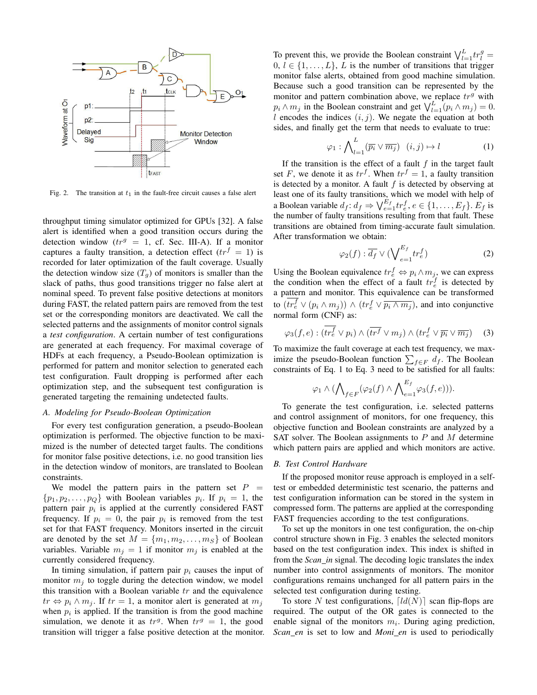

Fig. 2. The transition at  $t_1$  in the fault-free circuit causes a false alert

throughput timing simulator optimized for GPUs [32]. A false alert is identified when a good transition occurs during the detection window ( $tr<sup>g</sup> = 1$ , cf. Sec. III-A). If a monitor captures a faulty transition, a detection effect  $(tr^f = 1)$  is recorded for later optimization of the fault coverage. Usually the detection window size  $(T_g)$  of monitors is smaller than the slack of paths, thus good transitions trigger no false alert at nominal speed. To prevent false positive detections at monitors during FAST, the related pattern pairs are removed from the test set or the corresponding monitors are deactivated. We call the selected patterns and the assignments of monitor control signals a *test configuration*. A certain number of test configurations are generated at each frequency. For maximal coverage of HDFs at each frequency, a Pseudo-Boolean optimization is performed for pattern and monitor selection to generated each test configuration. Fault dropping is performed after each optimization step, and the subsequent test configuration is generated targeting the remaining undetected faults.

# *A. Modeling for Pseudo-Boolean Optimization*

For every test configuration generation, a pseudo-Boolean optimization is performed. The objective function to be maximized is the number of detected target faults. The conditions for monitor false positive detections, i.e. no good transition lies in the detection window of monitors, are translated to Boolean constraints.

We model the pattern pairs in the pattern set  $P =$  $\{p_1, p_2, \ldots, p_Q\}$  with Boolean variables  $p_i$ . If  $p_i = 1$ , the pattern pair  $p_i$  is applied at the currently considered FAST frequency. If  $p_i = 0$ , the pair  $p_i$  is removed from the test set for that FAST frequency. Monitors inserted in the circuit are denoted by the set  $M = \{m_1, m_2, \ldots, m_S\}$  of Boolean variables. Variable  $m_j = 1$  if monitor  $m_j$  is enabled at the currently considered frequency.

In timing simulation, if pattern pair  $p_i$  causes the input of monitor  $m_i$  to toggle during the detection window, we model this transition with a Boolean variable  $tr$  and the equivalence  $tr \Leftrightarrow p_i \wedge m_j$ . If  $tr = 1$ , a monitor alert is generated at  $m_j$ when  $p_i$  is applied. If the transition is from the good machine simulation, we denote it as  $tr<sup>g</sup>$ . When  $tr<sup>g</sup> = 1$ , the good transition will trigger a false positive detection at the monitor.

To prevent this, we provide the Boolean constraint  $\bigvee_{l=1}^{L} tr_l^g =$  $0, l \in \{1, \ldots, L\}, L$  is the number of transitions that trigger monitor false alerts, obtained from good machine simulation. Because such a good transition can be represented by the monitor and pattern combination above, we replace  $tr<sup>g</sup>$  with  $p_i \wedge m_j$  in the Boolean constraint and get  $\bigvee_{l=1}^{L} (p_i \wedge m_j) = 0$ . l encodes the indices  $(i, j)$ . We negate the equation at both sides, and finally get the term that needs to evaluate to true:

$$
\varphi_1 : \bigwedge_{l=1}^L (\overline{p_i} \vee \overline{m_j}) \quad (i,j) \mapsto l \tag{1}
$$

If the transition is the effect of a fault  $f$  in the target fault set F, we denote it as  $tr^f$ . When  $tr^f = 1$ , a faulty transition is detected by a monitor. A fault  $f$  is detected by observing at least one of its faulty transitions, which we model with help of a Boolean variable  $d_f: d_f \Rightarrow \bigvee_{e=1}^{E_f} tr_f^f, e \in \{1, \ldots, E_f\}.$   $E_f$  is the number of faulty transitions resulting from that fault. These transitions are obtained from timing-accurate fault simulation. After transformation we obtain:

$$
\varphi_2(f) : \overline{d_f} \vee \left(\bigvee_{e=1}^{E_f} tr_e^f\right) \tag{2}
$$

Using the Boolean equivalence  $tr_e^f \Leftrightarrow p_i \wedge m_j$ , we can express the condition when the effect of a fault  $tr_e^f$  is detected by a pattern and monitor. This equivalence can be transformed to  $(tr_e^f \lor (p_i \land m_j)) \land (tr_e^f \lor \overline{p_i \land m_j})$ , and into conjunctive normal form (CNF) as:

$$
\varphi_3(f,e) : (\overline{tr_e^f} \vee p_i) \wedge (\overline{tr^f} \vee m_j) \wedge (tr_e^f \vee \overline{p_i} \vee \overline{m_j}) \quad (3)
$$

To maximize the fault coverage at each test frequency, we maximize the pseudo-Boolean function  $\sum_{f \in F} d_f$ . The Boolean constraints of Eq. 1 to Eq. 3 need to be satisfied for all faults:

$$
\varphi_1 \wedge (\bigwedge\nolimits_{f \in F} (\varphi_2(f) \wedge \bigwedge\nolimits_{e=1}^{E_f} \varphi_3(f,e))).
$$

To generate the test configuration, i.e. selected patterns and control assignment of monitors, for one frequency, this objective function and Boolean constraints are analyzed by a SAT solver. The Boolean assignments to  $P$  and  $M$  determine which pattern pairs are applied and which monitors are active.

# *B. Test Control Hardware*

If the proposed monitor reuse approach is employed in a selftest or embedded deterministic test scenario, the patterns and test configuration information can be stored in the system in compressed form. The patterns are applied at the corresponding FAST frequencies according to the test configurations.

To set up the monitors in one test configuration, the on-chip control structure shown in Fig. 3 enables the selected monitors based on the test configuration index. This index is shifted in from the *Scan in* signal. The decoding logic translates the index number into control assignments of monitors. The monitor configurations remains unchanged for all pattern pairs in the selected test configuration during testing.

To store N test configurations,  $\lceil ld(N) \rceil$  scan flip-flops are required. The output of the OR gates is connected to the enable signal of the monitors  $m_i$ . During aging prediction, *Scan en* is set to low and *Moni en* is used to periodically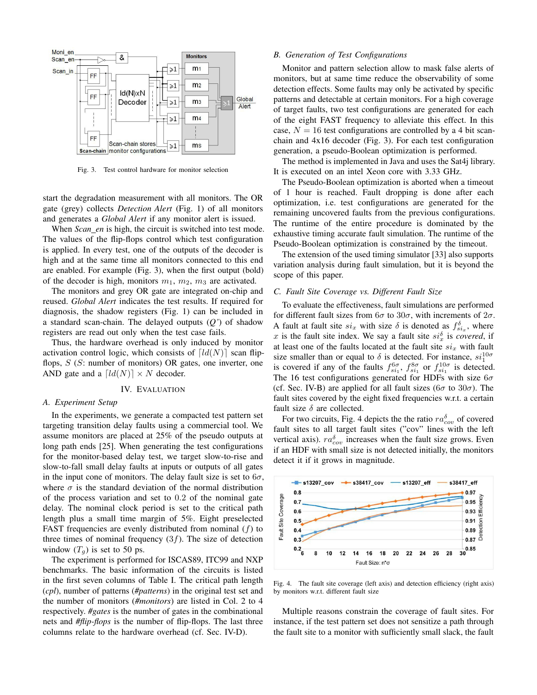

Fig. 3. Test control hardware for monitor selection

start the degradation measurement with all monitors. The OR gate (grey) collects *Detection Alert* (Fig. 1) of all monitors and generates a *Global Alert* if any monitor alert is issued.

When *Scan en* is high, the circuit is switched into test mode. The values of the flip-flops control which test configuration is applied. In every test, one of the outputs of the decoder is high and at the same time all monitors connected to this end are enabled. For example (Fig. 3), when the first output (bold) of the decoder is high, monitors  $m_1$ ,  $m_2$ ,  $m_3$  are activated.

The monitors and grey OR gate are integrated on-chip and reused. *Global Alert* indicates the test results. If required for diagnosis, the shadow registers (Fig. 1) can be included in a standard scan-chain. The delayed outputs (*Q'*) of shadow registers are read out only when the test case fails.

Thus, the hardware overhead is only induced by monitor activation control logic, which consists of  $\lceil ld(N) \rceil$  scan flipflops, S (S: number of monitors) OR gates, one inverter, one AND gate and a  $\lceil ld(N) \rceil \times N$  decoder.

# IV. EVALUATION

# *A. Experiment Setup*

In the experiments, we generate a compacted test pattern set targeting transition delay faults using a commercial tool. We assume monitors are placed at 25% of the pseudo outputs at long path ends [25]. When generating the test configurations for the monitor-based delay test, we target slow-to-rise and slow-to-fall small delay faults at inputs or outputs of all gates in the input cone of monitors. The delay fault size is set to  $6\sigma$ , where  $\sigma$  is the standard deviation of the normal distribution of the process variation and set to 0.2 of the nominal gate delay. The nominal clock period is set to the critical path length plus a small time margin of 5%. Eight preselected FAST frequencies are evenly distributed from nominal  $(f)$  to three times of nominal frequency  $(3f)$ . The size of detection window  $(T_q)$  is set to 50 ps.

The experiment is performed for ISCAS89, ITC99 and NXP benchmarks. The basic information of the circuits is listed in the first seven columns of Table I. The critical path length (*cpl*), number of patterns (*#patterns*) in the original test set and the number of monitors (*#monitors*) are listed in Col. 2 to 4 respectively. *#gates* is the number of gates in the combinational nets and *#flip-flops* is the number of flip-flops. The last three columns relate to the hardware overhead (cf. Sec. IV-D).

# *B. Generation of Test Configurations*

Monitor and pattern selection allow to mask false alerts of monitors, but at same time reduce the observability of some detection effects. Some faults may only be activated by specific patterns and detectable at certain monitors. For a high coverage of target faults, two test configurations are generated for each of the eight FAST frequency to alleviate this effect. In this case,  $N = 16$  test configurations are controlled by a 4 bit scanchain and 4x16 decoder (Fig. 3). For each test configuration generation, a pseudo-Boolean optimization is performed.

The method is implemented in Java and uses the Sat4j library. It is executed on an intel Xeon core with 3.33 GHz.

The Pseudo-Boolean optimization is aborted when a timeout of 1 hour is reached. Fault dropping is done after each optimization, i.e. test configurations are generated for the remaining uncovered faults from the previous configurations. The runtime of the entire procedure is dominated by the exhaustive timing accurate fault simulation. The runtime of the Pseudo-Boolean optimization is constrained by the timeout.

The extension of the used timing simulator [33] also supports variation analysis during fault simulation, but it is beyond the scope of this paper.

# *C. Fault Site Coverage vs. Different Fault Size*

To evaluate the effectiveness, fault simulations are performed for different fault sizes from  $6\sigma$  to  $30\sigma$ , with increments of  $2\sigma$ . A fault at fault site  $si_x$  with size  $\delta$  is denoted as  $f_{si_x}^{\delta}$ , where x is the fault site index. We say a fault site  $si_x^{\delta}$  is *covered*, if at least one of the faults located at the fault site  $si_x$  with fault size smaller than or equal to  $\delta$  is detected. For instance,  $si_1^{10\sigma}$ is covered if any of the faults  $f_{si_1}^{6\sigma}$ ,  $f_{si_1}^{8\sigma}$  or  $f_{si_1}^{10\sigma}$  is detected. The 16 test configurations generated for HDFs with size  $6\sigma$ (cf. Sec. IV-B) are applied for all fault sizes ( $6\sigma$  to  $30\sigma$ ). The fault sites covered by the eight fixed frequencies w.r.t. a certain fault size  $\delta$  are collected.

For two circuits, Fig. 4 depicts the the ratio  $ra_{cov}^{\delta}$  of covered fault sites to all target fault sites ("cov" lines with the left vertical axis).  $ra_{cov}^{\delta}$  increases when the fault size grows. Even if an HDF with small size is not detected initially, the monitors detect it if it grows in magnitude.



Fig. 4. The fault site coverage (left axis) and detection efficiency (right axis) by monitors w.r.t. different fault size

Multiple reasons constrain the coverage of fault sites. For instance, if the test pattern set does not sensitize a path through the fault site to a monitor with sufficiently small slack, the fault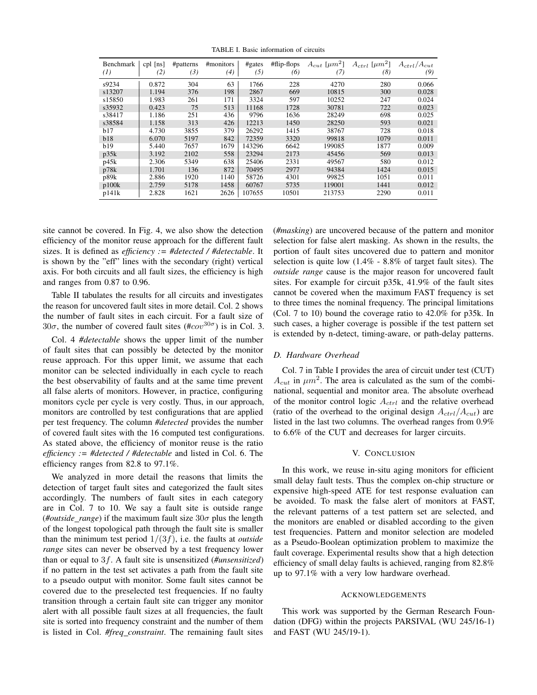TABLE I. Basic information of circuits

| Benchmark | cpl [ns] | #patterns | #monitors | #gates | $#flip-flops$ | $A_{cut}$ [ $\mu m^2$ ] | $A_{ctrl}$ [ $\mu m^2$ ] | $A_{ctrl}/A_{cut}$ |
|-----------|----------|-----------|-----------|--------|---------------|-------------------------|--------------------------|--------------------|
| (1)       | (2)      | (3)       | (4)       | (5)    | (6)           | (7)                     | (8)                      | (9)                |
| s9234     | 0.872    | 304       | 63        | 1766   | 228           | 4270                    | 280                      | 0.066              |
| s13207    | 1.194    | 376       | 198       | 2867   | 669           | 10815                   | 300                      | 0.028              |
| s15850    | 1.983    | 261       | 171       | 3324   | 597           | 10252                   | 247                      | 0.024              |
| s35932    | 0.423    | 75        | 513       | 11168  | 1728          | 30781                   | 722                      | 0.023              |
| s38417    | 1.186    | 251       | 436       | 9796   | 1636          | 28249                   | 698                      | 0.025              |
| s38584    | 1.158    | 313       | 426       | 12213  | 1450          | 28250                   | 593                      | 0.021              |
| b17       | 4.730    | 3855      | 379       | 26292  | 1415          | 38767                   | 728                      | 0.018              |
| b18       | 6.070    | 5197      | 842       | 72359  | 3320          | 99818                   | 1079                     | 0.011              |
| b19       | 5.440    | 7657      | 1679      | 143296 | 6642          | 199085                  | 1877                     | 0.009              |
| p35k      | 3.192    | 2102      | 558       | 23294  | 2173          | 45456                   | 569                      | 0.013              |
| p45k      | 2.306    | 5349      | 638       | 25406  | 2331          | 49567                   | 580                      | 0.012              |
| p78k      | 1.701    | 136       | 872       | 70495  | 2977          | 94384                   | 1424                     | 0.015              |
| p89k      | 2.886    | 1920      | 1140      | 58726  | 4301          | 99825                   | 1051                     | 0.011              |
| p100k     | 2.759    | 5178      | 1458      | 60767  | 5735          | 119001                  | 1441                     | 0.012              |
| p141k     | 2.828    | 1621      | 2626      | 107655 | 10501         | 213753                  | 2290                     | 0.011              |

site cannot be covered. In Fig. 4, we also show the detection efficiency of the monitor reuse approach for the different fault sizes. It is defined as *efficiency := #detected / #detectable*. It is shown by the "eff" lines with the secondary (right) vertical axis. For both circuits and all fault sizes, the efficiency is high and ranges from 0.87 to 0.96.

Table II tabulates the results for all circuits and investigates the reason for uncovered fault sites in more detail. Col. 2 shows the number of fault sites in each circuit. For a fault size of 30 $\sigma$ , the number of covered fault sites (# $cov^{30\sigma}$ ) is in Col. 3.

Col. 4 *#detectable* shows the upper limit of the number of fault sites that can possibly be detected by the monitor reuse approach. For this upper limit, we assume that each monitor can be selected individually in each cycle to reach the best observability of faults and at the same time prevent all false alerts of monitors. However, in practice, configuring monitors cycle per cycle is very costly. Thus, in our approach, monitors are controlled by test configurations that are applied per test frequency. The column *#detected* provides the number of covered fault sites with the 16 computed test configurations. As stated above, the efficiency of monitor reuse is the ratio *efficiency := #detected / #detectable* and listed in Col. 6. The efficiency ranges from 82.8 to 97.1%.

We analyzed in more detail the reasons that limits the detection of target fault sites and categorized the fault sites accordingly. The numbers of fault sites in each category are in Col. 7 to 10. We say a fault site is outside range (*#outside range*) if the maximum fault size  $30\sigma$  plus the length of the longest topological path through the fault site is smaller than the minimum test period 1/(3f), i.e. the faults at *outside range* sites can never be observed by a test frequency lower than or equal to 3f. A fault site is unsensitized (*#unsensitized*) if no pattern in the test set activates a path from the fault site to a pseudo output with monitor. Some fault sites cannot be covered due to the preselected test frequencies. If no faulty transition through a certain fault site can trigger any monitor alert with all possible fault sizes at all frequencies, the fault site is sorted into frequency constraint and the number of them is listed in Col. *#freq constraint*. The remaining fault sites

(*#masking*) are uncovered because of the pattern and monitor selection for false alert masking. As shown in the results, the portion of fault sites uncovered due to pattern and monitor selection is quite low (1.4% - 8.8% of target fault sites). The *outside range* cause is the major reason for uncovered fault sites. For example for circuit p35k, 41.9% of the fault sites cannot be covered when the maximum FAST frequency is set to three times the nominal frequency. The principal limitations (Col. 7 to 10) bound the coverage ratio to 42.0% for p35k. In such cases, a higher coverage is possible if the test pattern set is extended by n-detect, timing-aware, or path-delay patterns.

# *D. Hardware Overhead*

Col. 7 in Table I provides the area of circuit under test (CUT)  $A_{cut}$  in  $\mu m^2$ . The area is calculated as the sum of the combinational, sequential and monitor area. The absolute overhead of the monitor control logic  $A_{ctrl}$  and the relative overhead (ratio of the overhead to the original design  $A_{ctrl}/A_{cut}$ ) are listed in the last two columns. The overhead ranges from 0.9% to 6.6% of the CUT and decreases for larger circuits.

# V. CONCLUSION

In this work, we reuse in-situ aging monitors for efficient small delay fault tests. Thus the complex on-chip structure or expensive high-speed ATE for test response evaluation can be avoided. To mask the false alert of monitors at FAST, the relevant patterns of a test pattern set are selected, and the monitors are enabled or disabled according to the given test frequencies. Pattern and monitor selection are modeled as a Pseudo-Boolean optimization problem to maximize the fault coverage. Experimental results show that a high detection efficiency of small delay faults is achieved, ranging from 82.8% up to 97.1% with a very low hardware overhead.

#### ACKNOWLEDGEMENTS

This work was supported by the German Research Foundation (DFG) within the projects PARSIVAL (WU 245/16-1) and FAST (WU 245/19-1).